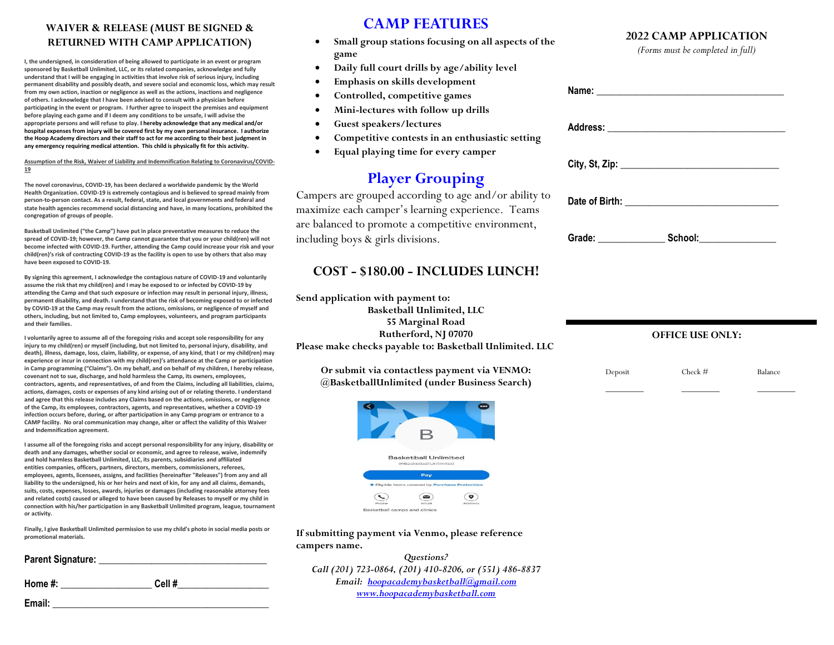### **WAIVER & RELEASE (MUST BE SIGNED & RETURNED WITH CAMP APPLICATION)**

**I, the undersigned, in consideration of being allowed to participate in an event or program sponsored by Basketball Unlimited, LLC, or its related companies, acknowledge and fully understand that I will be engaging in activities that involve risk of serious injury, including permanent disability and possibly death, and severe social and economic loss, which may result from my own action, inaction or negligence as well as the actions, inactions and negligence of others. I acknowledge that I have been advised to consult with a physician before participating in the event or program. I further agree to inspect the premises and equipment before playing each game and if I deem any conditions to be unsafe, I will advise the appropriate persons and will refuse to play. I hereby acknowledge that any medical and/or hospital expenses from injury will be covered first by my own personal insurance. I authorize the Hoop Academy directors and their staff to act for me according to their best judgment in any emergency requiring medical attention. This child is physically fit for this activity.** 

#### **Assumption of the Risk, Waiver of Liability and Indemnification Relating to Coronavirus/COVID-19**

**The novel coronavirus, COVID-19, has been declared a worldwide pandemic by the World Health Organization. COVID-19 is extremely contagious and is believed to spread mainly from person-to-person contact. As a result, federal, state, and local governments and federal and state health agencies recommend social distancing and have, in many locations, prohibited the congregation of groups of people.**

**Basketball Unlimited ("the Camp") have put in place preventative measures to reduce the spread of COVID-19; however, the Camp cannot guarantee that you or your child(ren) will not become infected with COVID-19. Further, attending the Camp could increase your risk and your child(ren)'s risk of contracting COVID-19 as the facility is open to use by others that also may have been exposed to COVID-19.**

**By signing this agreement, I acknowledge the contagious nature of COVID-19 and voluntarily assume the risk that my child(ren) and I may be exposed to or infected by COVID-19 by attending the Camp and that such exposure or infection may result in personal injury, illness, permanent disability, and death. I understand that the risk of becoming exposed to or infected by COVID-19 at the Camp may result from the actions, omissions, or negligence of myself and others, including, but not limited to, Camp employees, volunteers, and program participants and their families.**

**I voluntarily agree to assume all of the foregoing risks and accept sole responsibility for any injury to my child(ren) or myself (including, but not limited to, personal injury, disability, and death), illness, damage, loss, claim, liability, or expense, of any kind, that I or my child(ren) may experience or incur in connection with my child(ren)'s attendance at the Camp or participation in Camp programming ("Claims"). On my behalf, and on behalf of my children, I hereby release, covenant not to sue, discharge, and hold harmless the Camp, its owners, employees, contractors, agents, and representatives, of and from the Claims, including all liabilities, claims, actions, damages, costs or expenses of any kind arising out of or relating thereto. I understand and agree that this release includes any Claims based on the actions, omissions, or negligence of the Camp, its employees, contractors, agents, and representatives, whether a COVID-19 infection occurs before, during, or after participation in any Camp program or entrance to a CAMP facility. No oral communication may change, alter or affect the validity of this Waiver and Indemnification agreement.**

**I assume all of the foregoing risks and accept personal responsibility for any injury, disability or death and any damages, whether social or economic, and agree to release, waive, indemnify and hold harmless Basketball Unlimited, LLC, its parents, subsidiaries and affiliated entities companies, officers, partners, directors, members, commissioners, referees, employees, agents, licensees, assigns, and facilities (hereinafter "Releases") from any and all liability to the undersigned, his or her heirs and next of kin, for any and all claims, demands, suits, costs, expenses, losses, awards, injuries or damages (including reasonable attorney fees and related costs) caused or alleged to have been caused by Releases to myself or my child in connection with his/her participation in any Basketball Unlimited program, league, tournament or activity.**

**Finally, I give Basketball Unlimited permission to use my child's photo in social media posts or promotional materials.**

| <b>Parent Signature:</b> |       |  |
|--------------------------|-------|--|
| Home #:                  | Cell# |  |
| Email:                   |       |  |

## **CAMP FEATURES**

- **Small group stations focusing on all aspects of the game**
- **Daily full court drills by age/ability level**
- **Emphasis on skills development**
- **Controlled, competitive games**
- **Mini-lectures with follow up drills**
- **Guest speakers/lectures**
- **Competitive contests in an enthusiastic setting**
- **Equal playing time for every camper**

# **Player Grouping**

Campers are grouped according to age and/or ability to maximize each camper's learning experience. Teams are balanced to promote a competitive environment, including boys & girls divisions.

## **COST - \$180.00 - INCLUDES LUNCH!**

**Send application with payment to: Basketball Unlimited, LLC 55 Marginal Road Rutherford, NJ 07070 Please make checks payable to: Basketball Unlimited. LLC**

**Or submit via contactless payment via VENMO: @BasketballUnlimited (under Business Search)**



#### **If submitting payment via Venmo, please reference campers name.**

*Questions? Call (201) 723-0864, (201) 410-8206, or (551) 486-8837 Email: [hoopacademybasketball@gmail.com](mailto:hoopacademybasketball@gmail.com) [www.hoopacademybasketball.com](http://www.hoopacademybasketball.com/)*

### **2022 CAMP APPLICATION**

*(Forms must be completed in full)*

|         | <b>OFFICE USE ONLY:</b> |         |
|---------|-------------------------|---------|
| Deposit | Check#                  | Balance |

\_\_\_\_\_\_\_\_\_ \_\_\_\_\_\_\_\_\_ \_\_\_\_\_\_\_\_\_